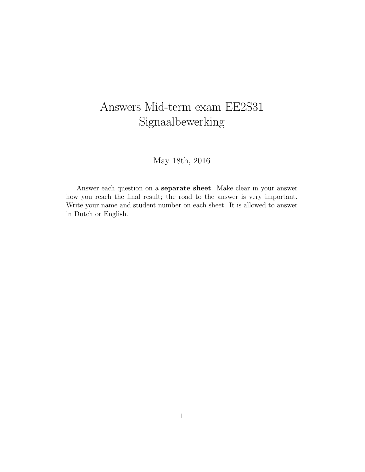## Answers Mid-term exam EE2S31 Signaalbewerking

May 18th, 2016

Answer each question on a separate sheet. Make clear in your answer how you reach the final result; the road to the answer is very important. Write your name and student number on each sheet. It is allowed to answer in Dutch or English.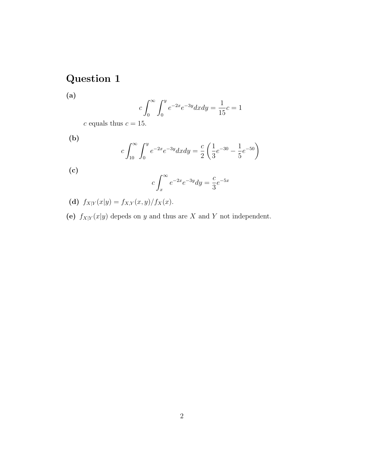## Question 1

(a)

$$
c \int_0^{\infty} \int_0^y e^{-2x} e^{-3y} dx dy = \frac{1}{15}c = 1
$$

 $c$  equals thus  $c=15.$ 

(b)

$$
c\int_{10}^{\infty} \int_{0}^{y} e^{-2x} e^{-3y} dx dy = \frac{c}{2} \left( \frac{1}{3} e^{-30} - \frac{1}{5} e^{-50} \right)
$$

(c)

$$
c \int_{x}^{\infty} e^{-2x} e^{-3y} dy = \frac{c}{3} e^{-5x}
$$

(d)  $f_{X|Y}(x|y) = f_{X,Y}(x, y)/f_X(x)$ .

(e)  $f_{X|Y}(x|y)$  depeds on y and thus are X and Y not independent.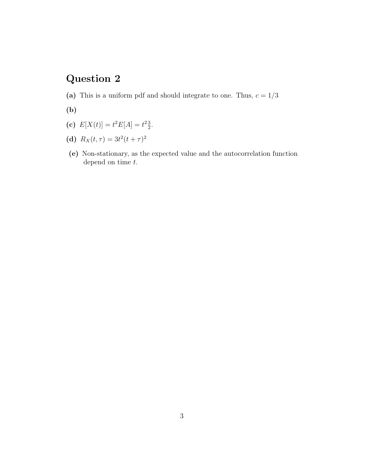## Question 2

- (a) This is a uniform pdf and should integrate to one. Thus,  $c = 1/3$
- (b)
- (c)  $E[X(t)] = t^2 E[A] = t^2 \frac{3}{2}$  $\frac{3}{2}$ .
- (d)  $R_X(t,\tau) = 3t^2(t+\tau)^2$
- (e) Non-stationary, as the expected value and the autocorrelation function depend on time  $t$ .